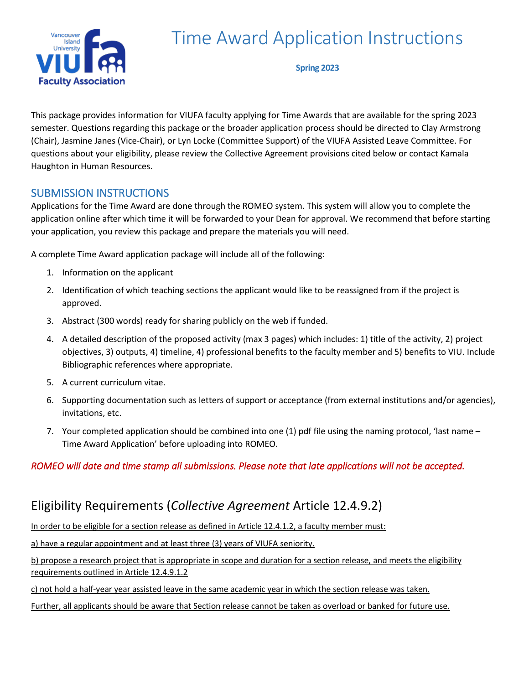

# Time Award Application Instructions

**Spring 2023**

This package provides information for VIUFA faculty applying for Time Awards that are available for the spring 2023 semester. Questions regarding this package or the broader application process should be directed to Clay Armstrong (Chair), Jasmine Janes (Vice-Chair), or Lyn Locke (Committee Support) of the VIUFA Assisted Leave Committee. For questions about your eligibility, please review the Collective Agreement provisions cited below or contact Kamala Haughton in Human Resources.

# SUBMISSION INSTRUCTIONS

Applications for the Time Award are done through the ROMEO system. This system will allow you to complete the application online after which time it will be forwarded to your Dean for approval. We recommend that before starting your application, you review this package and prepare the materials you will need.

A complete Time Award application package will include all of the following:

- 1. Information on the applicant
- 2. Identification of which teaching sections the applicant would like to be reassigned from if the project is approved.
- 3. Abstract (300 words) ready for sharing publicly on the web if funded.
- 4. A detailed description of the proposed activity (max 3 pages) which includes: 1) title of the activity, 2) project objectives, 3) outputs, 4) timeline, 4) professional benefits to the faculty member and 5) benefits to VIU. Include Bibliographic references where appropriate.
- 5. A current curriculum vitae.
- 6. Supporting documentation such as letters of support or acceptance (from external institutions and/or agencies), invitations, etc.
- 7. Your completed application should be combined into one (1) pdf file using the naming protocol, 'last name Time Award Application' before uploading into ROMEO.

### *ROMEO will date and time stamp all submissions. Please note that late applications will not be accepted.*

# Eligibility Requirements (*Collective Agreement* Article 12.4.9.2)

In order to be eligible for a section release as defined in Article 12.4.1.2, a faculty member must:

a) have a regular appointment and at least three (3) years of VIUFA seniority.

b) propose a research project that is appropriate in scope and duration for a section release, and meets the eligibility requirements outlined in Article 12.4.9.1.2

c) not hold a half-year year assisted leave in the same academic year in which the section release was taken.

Further, all applicants should be aware that Section release cannot be taken as overload or banked for future use.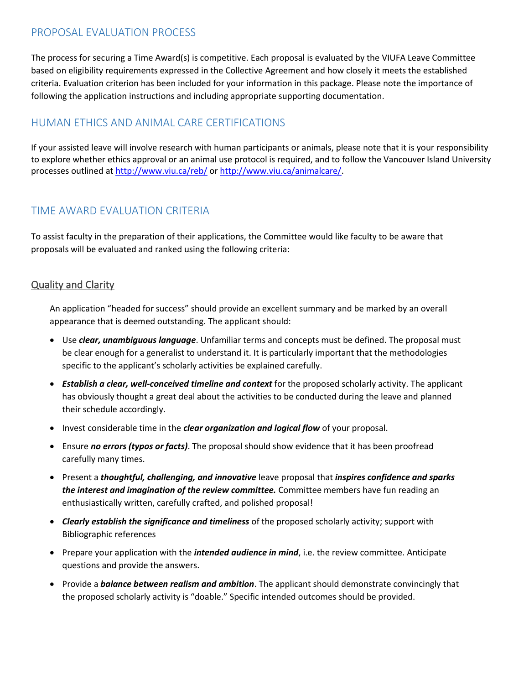#### PROPOSAL EVALUATION PROCESS

The process for securing a Time Award(s) is competitive. Each proposal is evaluated by the VIUFA Leave Committee based on eligibility requirements expressed in the Collective Agreement and how closely it meets the established criteria. Evaluation criterion has been included for your information in this package. Please note the importance of following the application instructions and including appropriate supporting documentation.

# HUMAN ETHICS AND ANIMAL CARE CERTIFICATIONS

If your assisted leave will involve research with human participants or animals, please note that it is your responsibility to explore whether ethics approval or an animal use protocol is required, and to follow the Vancouver Island University processes outlined a[t http://www.viu.ca/reb/](http://www.viu.ca/reb/) o[r http://www.viu.ca/animalcare/.](http://www.viu.ca/animalcare/)

## TIME AWARD EVALUATION CRITERIA

To assist faculty in the preparation of their applications, the Committee would like faculty to be aware that proposals will be evaluated and ranked using the following criteria:

#### Quality and Clarity

An application "headed for success" should provide an excellent summary and be marked by an overall appearance that is deemed outstanding. The applicant should:

- Use *clear, unambiguous language*. Unfamiliar terms and concepts must be defined. The proposal must be clear enough for a generalist to understand it. It is particularly important that the methodologies specific to the applicant's scholarly activities be explained carefully.
- *Establish a clear, well-conceived timeline and context* for the proposed scholarly activity. The applicant has obviously thought a great deal about the activities to be conducted during the leave and planned their schedule accordingly.
- Invest considerable time in the *clear organization and logical flow* of your proposal.
- Ensure *no errors (typos or facts)*. The proposal should show evidence that it has been proofread carefully many times.
- Present a *thoughtful, challenging, and innovative* leave proposal that *inspires confidence and sparks the interest and imagination of the review committee.* Committee members have fun reading an enthusiastically written, carefully crafted, and polished proposal!
- *Clearly establish the significance and timeliness* of the proposed scholarly activity; support with Bibliographic references
- Prepare your application with the *intended audience in mind*, i.e. the review committee. Anticipate questions and provide the answers.
- Provide a *balance between realism and ambition*. The applicant should demonstrate convincingly that the proposed scholarly activity is "doable." Specific intended outcomes should be provided.